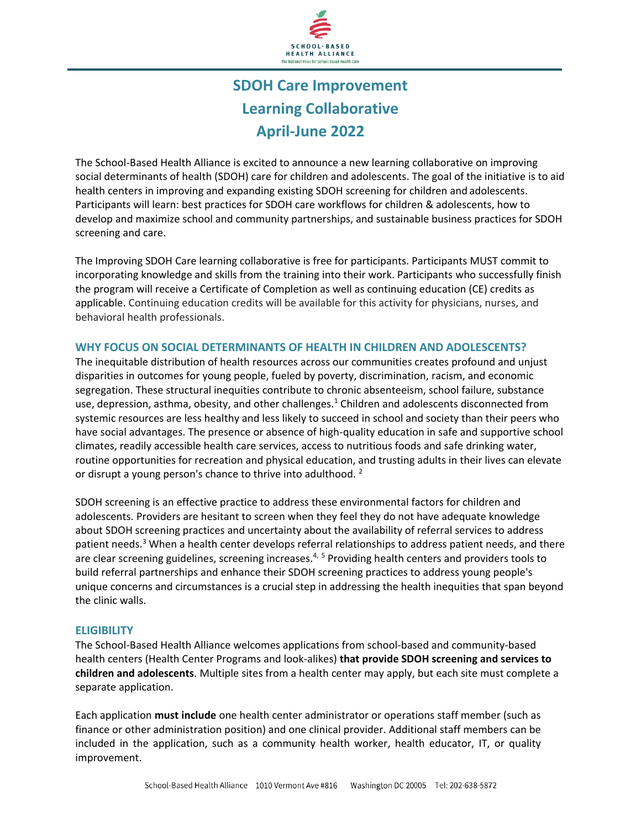

# **SDOH Care Improvement Learning Collaborative April-June 2022**

The School-Based Health Alliance is excited to announce a new learning collaborative on improving social determinants of health (SDOH) care for children and adolescents. The goal of the initiative is to aid health centers in improving and expanding existing SDOH screening for children and adolescents. Participants will learn: best practices for SDOH care workflows for children & adolescents, how to develop and maximize school and community partnerships, and sustainable business practices for SDOH screening and care.

The Improving SDOH Care learning collaborative is free for participants. Participants MUST commit to incorporating knowledge and skills from the training into their work. Participants who successfully finish the program will receive a Certificate of Completion as well as continuing education (CE) credits as applicable. Continuing education credits will be available for this activity for physicians, nurses, and behavioral health professionals.

### **WHY FOCUS ON SOCIAL DETERMINANTS OF HEALTH IN CHILDREN AND ADOLESCENTS?**

The inequitable distribution of health resources across our communities creates profound and unjust disparities in outcomes for young people, fueled by poverty, discrimination, racism, and economic segregation. These structural inequities contribute to chronic absenteeism, school failure, substance use, depression, asthma, obesity, and other challenges.<sup>1</sup> Children and adolescents disconnected from systemic resources are less healthy and less likely to succeed in school and society than their peers who have social advantages. The presence or absence of high-quality education in safe and supportive school climates, readily accessible health care services, access to nutritious foods and safe drinking water, routine opportunities for recreation and physical education, and trusting adults in their lives can elevate or disrupt a young person's chance to thrive into adulthood.<sup>2</sup>

SDOH screening is an effective practice to address these environmental factors for children and adolescents. Providers are hesitant to screen when they feel they do not have adequate knowledge about SDOH screening practices and uncertainty about the availability of referral services to address patient needs.<sup>3</sup> When a health center develops referral relationships to address patient needs, and there are clear screening guidelines, screening increases.<sup>4, 5</sup> Providing health centers and providers tools to build referral partnerships and enhance their SDOH screening practices to address young people's unique concerns and circumstances is a crucial step in addressing the health inequities that span beyond the clinic walls.

# **ELIGIBILITY**

The School-Based Health Alliance welcomes applications from school-based and community-based health centers (Health Center Programs and look-alikes) **that provide SDOH screening and services to children and adolescents**. Multiple sites from a health center may apply, but each site must complete a separate application.

Each application **must include** one health center administrator or operations staff member (such as finance or other administration position) and one clinical provider. Additional staff members can be included in the application, such as a community health worker, health educator, IT, or quality improvement.